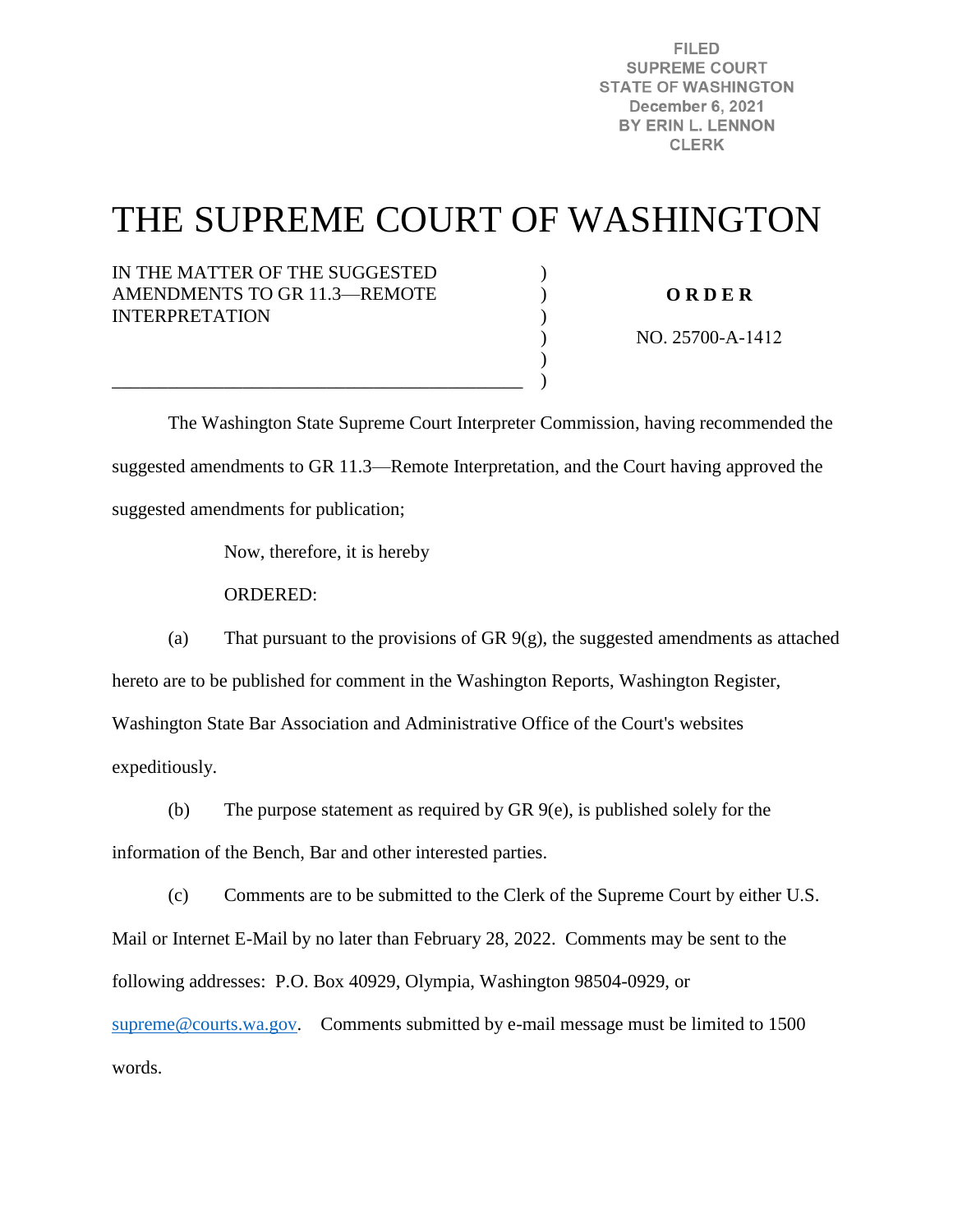**FILED SUPREME COURT STATE OF WASHINGTON** December 6, 2021 BY ERIN L. LENNON **CLERK** 

# THE SUPREME COURT OF WASHINGTON

) ) ) ) ) )

IN THE MATTER OF THE SUGGESTED AMENDMENTS TO GR 11.3—REMOTE INTERPRETATION

**O R D E R** 

NO. 25700-A-1412

 The Washington State Supreme Court Interpreter Commission, having recommended the suggested amendments to GR 11.3—Remote Interpretation, and the Court having approved the suggested amendments for publication;

Now, therefore, it is hereby

\_\_\_\_\_\_\_\_\_\_\_\_\_\_\_\_\_\_\_\_\_\_\_\_\_\_\_\_\_\_\_\_\_\_\_\_\_\_\_\_\_\_\_\_

ORDERED:

(a) That pursuant to the provisions of GR 9(g), the suggested amendments as attached hereto are to be published for comment in the Washington Reports, Washington Register, Washington State Bar Association and Administrative Office of the Court's websites expeditiously.

(b) The purpose statement as required by GR 9(e), is published solely for the information of the Bench, Bar and other interested parties.

(c) Comments are to be submitted to the Clerk of the Supreme Court by either U.S. Mail or Internet E-Mail by no later than February 28, 2022. Comments may be sent to the following addresses: P.O. Box 40929, Olympia, Washington 98504-0929, or [supreme@courts.wa.gov.](mailto:supreme@courts.wa.gov) Comments submitted by e-mail message must be limited to 1500 words.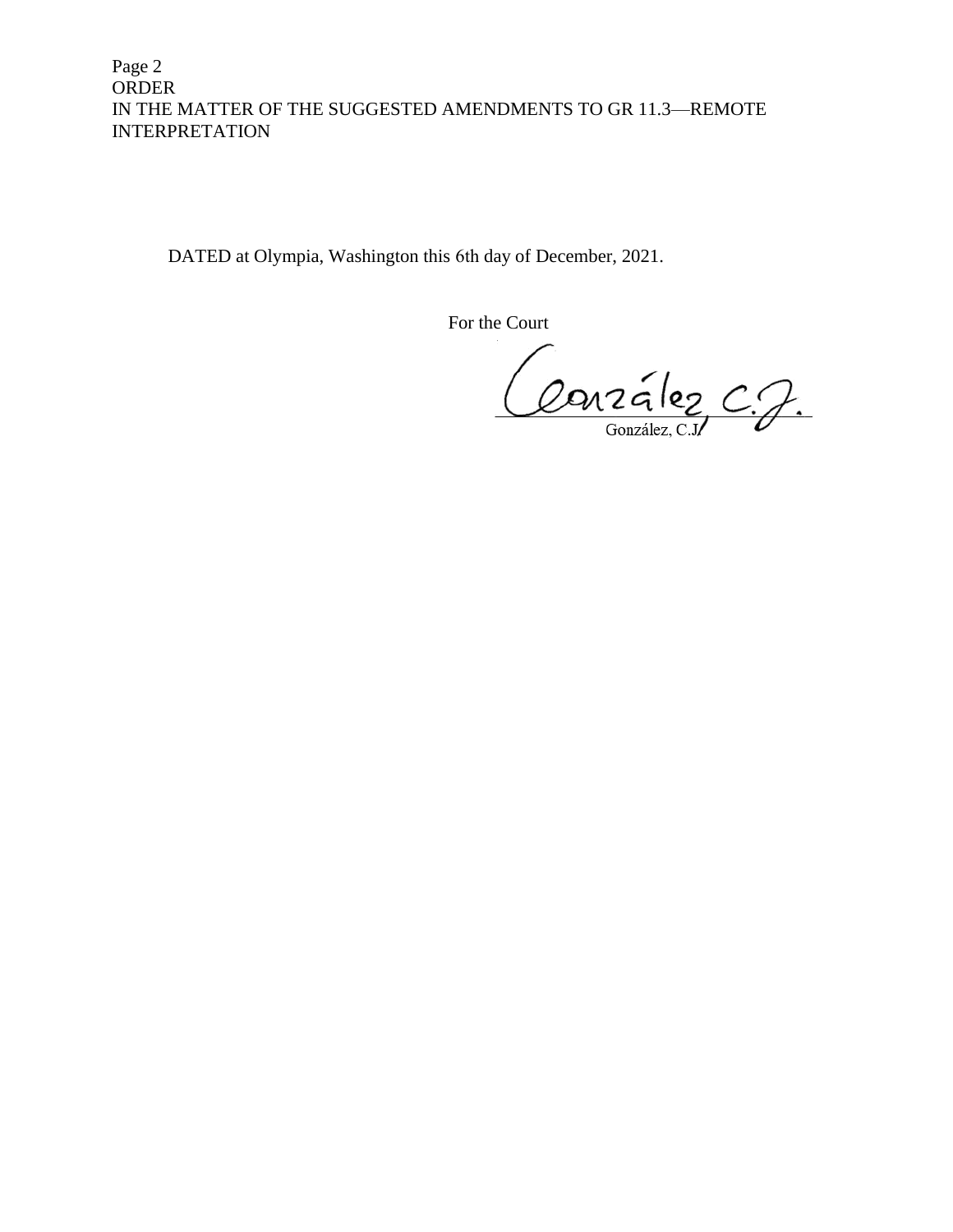Page 2 ORDER IN THE MATTER OF THE SUGGESTED AMENDMENTS TO GR 11.3—REMOTE INTERPRETATION

DATED at Olympia, Washington this 6th day of December, 2021.

For the Court

Conzález C.J.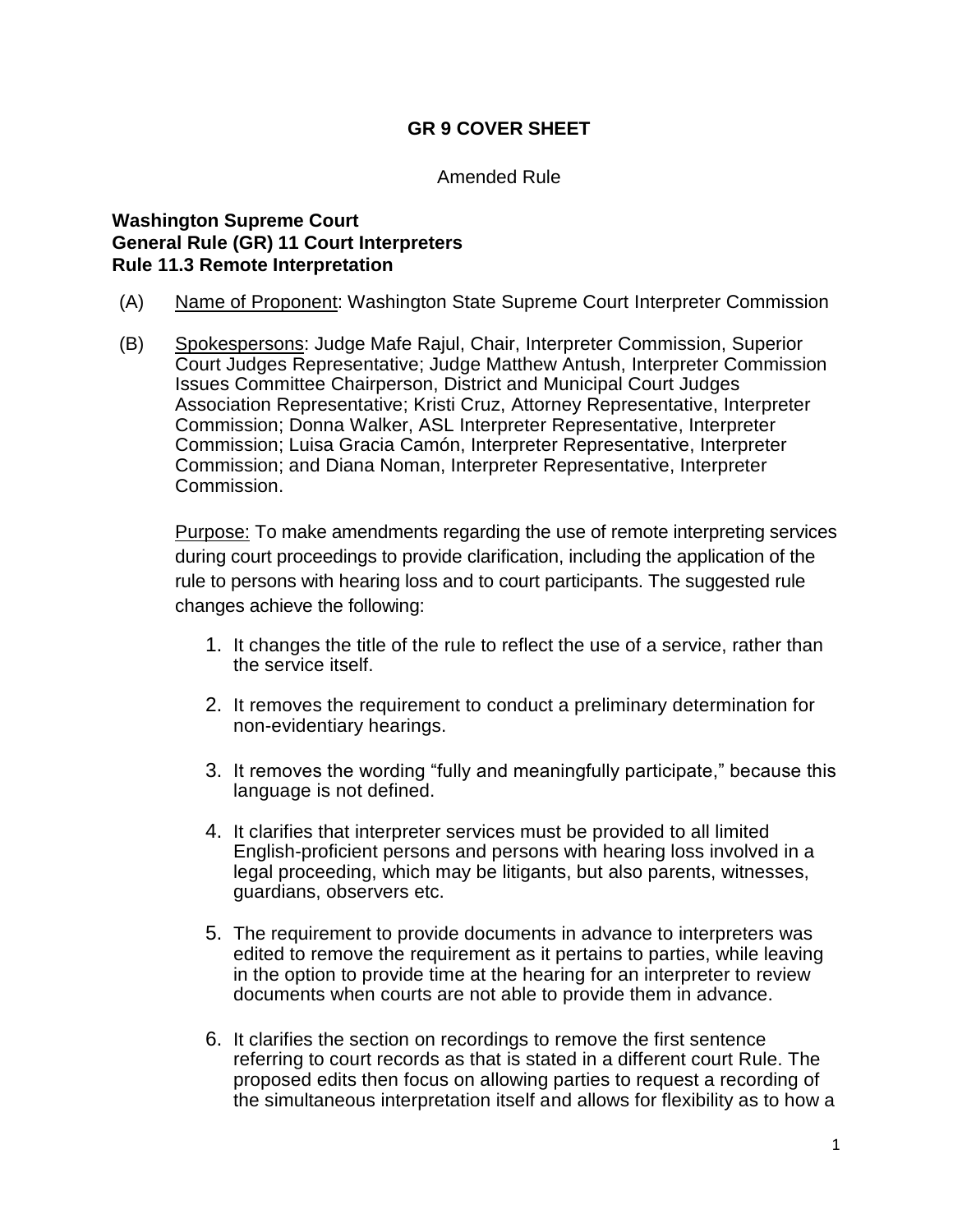# **GR 9 COVER SHEET**

#### Amended Rule

#### **Washington Supreme Court General Rule (GR) 11 Court Interpreters Rule 11.3 Remote Interpretation**

- (A) Name of Proponent: Washington State Supreme Court Interpreter Commission
- (B) Spokespersons: Judge Mafe Rajul, Chair, Interpreter Commission, Superior Court Judges Representative; Judge Matthew Antush, Interpreter Commission Issues Committee Chairperson, District and Municipal Court Judges Association Representative; Kristi Cruz, Attorney Representative, Interpreter Commission; Donna Walker, ASL Interpreter Representative, Interpreter Commission; Luisa Gracia Camón, Interpreter Representative, Interpreter Commission; and Diana Noman, Interpreter Representative, Interpreter Commission.

Purpose: To make amendments regarding the use of remote interpreting services during court proceedings to provide clarification, including the application of the rule to persons with hearing loss and to court participants. The suggested rule changes achieve the following:

- 1. It changes the title of the rule to reflect the use of a service, rather than the service itself.
- 2. It removes the requirement to conduct a preliminary determination for non-evidentiary hearings.
- 3. It removes the wording "fully and meaningfully participate," because this language is not defined.
- 4. It clarifies that interpreter services must be provided to all limited English-proficient persons and persons with hearing loss involved in a legal proceeding, which may be litigants, but also parents, witnesses, guardians, observers etc.
- 5. The requirement to provide documents in advance to interpreters was edited to remove the requirement as it pertains to parties, while leaving in the option to provide time at the hearing for an interpreter to review documents when courts are not able to provide them in advance.
- 6. It clarifies the section on recordings to remove the first sentence referring to court records as that is stated in a different court Rule. The proposed edits then focus on allowing parties to request a recording of the simultaneous interpretation itself and allows for flexibility as to how a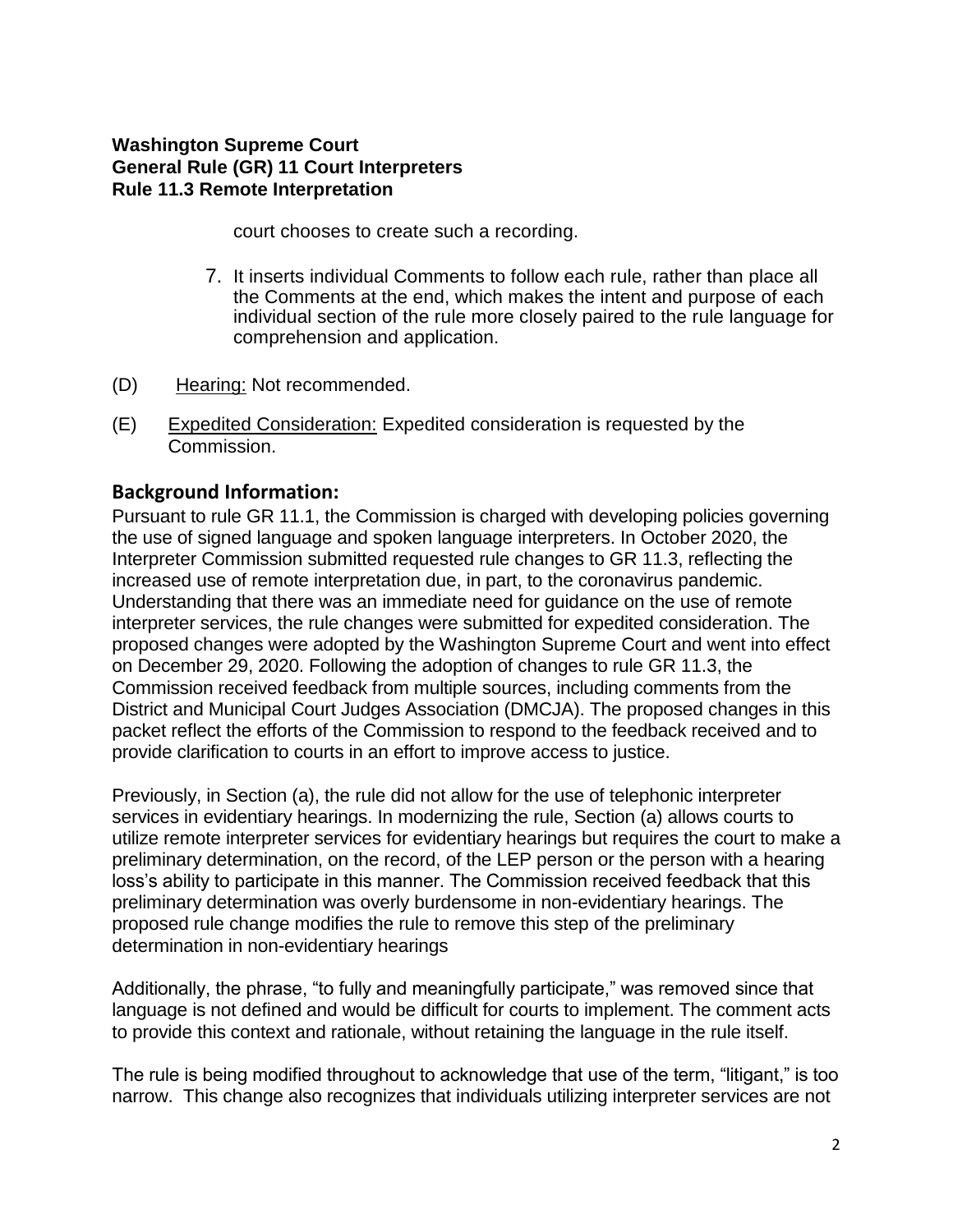## **Washington Supreme Court General Rule (GR) 11 Court Interpreters Rule 11.3 Remote Interpretation**

court chooses to create such a recording.

- 7. It inserts individual Comments to follow each rule, rather than place all the Comments at the end, which makes the intent and purpose of each individual section of the rule more closely paired to the rule language for comprehension and application.
- (D) Hearing: Not recommended.
- (E) Expedited Consideration: Expedited consideration is requested by the Commission.

# **Background Information:**

Pursuant to rule GR 11.1, the Commission is charged with developing policies governing the use of signed language and spoken language interpreters. In October 2020, the Interpreter Commission submitted requested rule changes to GR 11.3, reflecting the increased use of remote interpretation due, in part, to the coronavirus pandemic. Understanding that there was an immediate need for guidance on the use of remote interpreter services, the rule changes were submitted for expedited consideration. The proposed changes were adopted by the Washington Supreme Court and went into effect on December 29, 2020. Following the adoption of changes to rule GR 11.3, the Commission received feedback from multiple sources, including comments from the District and Municipal Court Judges Association (DMCJA). The proposed changes in this packet reflect the efforts of the Commission to respond to the feedback received and to provide clarification to courts in an effort to improve access to justice.

Previously, in Section (a), the rule did not allow for the use of telephonic interpreter services in evidentiary hearings. In modernizing the rule, Section (a) allows courts to utilize remote interpreter services for evidentiary hearings but requires the court to make a preliminary determination, on the record, of the LEP person or the person with a hearing loss's ability to participate in this manner. The Commission received feedback that this preliminary determination was overly burdensome in non-evidentiary hearings. The proposed rule change modifies the rule to remove this step of the preliminary determination in non-evidentiary hearings

Additionally, the phrase, "to fully and meaningfully participate," was removed since that language is not defined and would be difficult for courts to implement. The comment acts to provide this context and rationale, without retaining the language in the rule itself.

The rule is being modified throughout to acknowledge that use of the term, "litigant," is too narrow. This change also recognizes that individuals utilizing interpreter services are not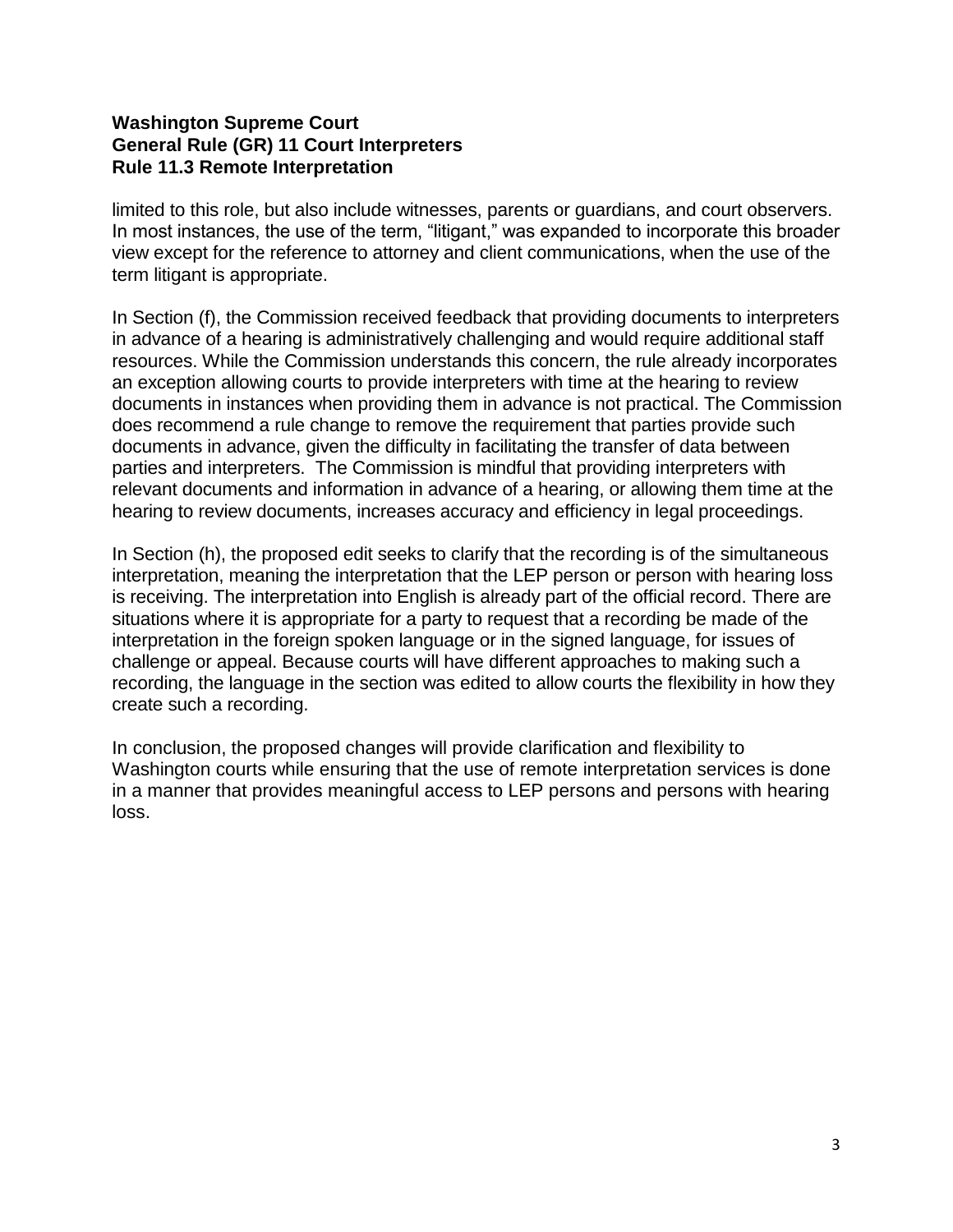## **Washington Supreme Court General Rule (GR) 11 Court Interpreters Rule 11.3 Remote Interpretation**

limited to this role, but also include witnesses, parents or guardians, and court observers. In most instances, the use of the term, "litigant," was expanded to incorporate this broader view except for the reference to attorney and client communications, when the use of the term litigant is appropriate.

In Section (f), the Commission received feedback that providing documents to interpreters in advance of a hearing is administratively challenging and would require additional staff resources. While the Commission understands this concern, the rule already incorporates an exception allowing courts to provide interpreters with time at the hearing to review documents in instances when providing them in advance is not practical. The Commission does recommend a rule change to remove the requirement that parties provide such documents in advance, given the difficulty in facilitating the transfer of data between parties and interpreters. The Commission is mindful that providing interpreters with relevant documents and information in advance of a hearing, or allowing them time at the hearing to review documents, increases accuracy and efficiency in legal proceedings.

In Section (h), the proposed edit seeks to clarify that the recording is of the simultaneous interpretation, meaning the interpretation that the LEP person or person with hearing loss is receiving. The interpretation into English is already part of the official record. There are situations where it is appropriate for a party to request that a recording be made of the interpretation in the foreign spoken language or in the signed language, for issues of challenge or appeal. Because courts will have different approaches to making such a recording, the language in the section was edited to allow courts the flexibility in how they create such a recording.

In conclusion, the proposed changes will provide clarification and flexibility to Washington courts while ensuring that the use of remote interpretation services is done in a manner that provides meaningful access to LEP persons and persons with hearing loss.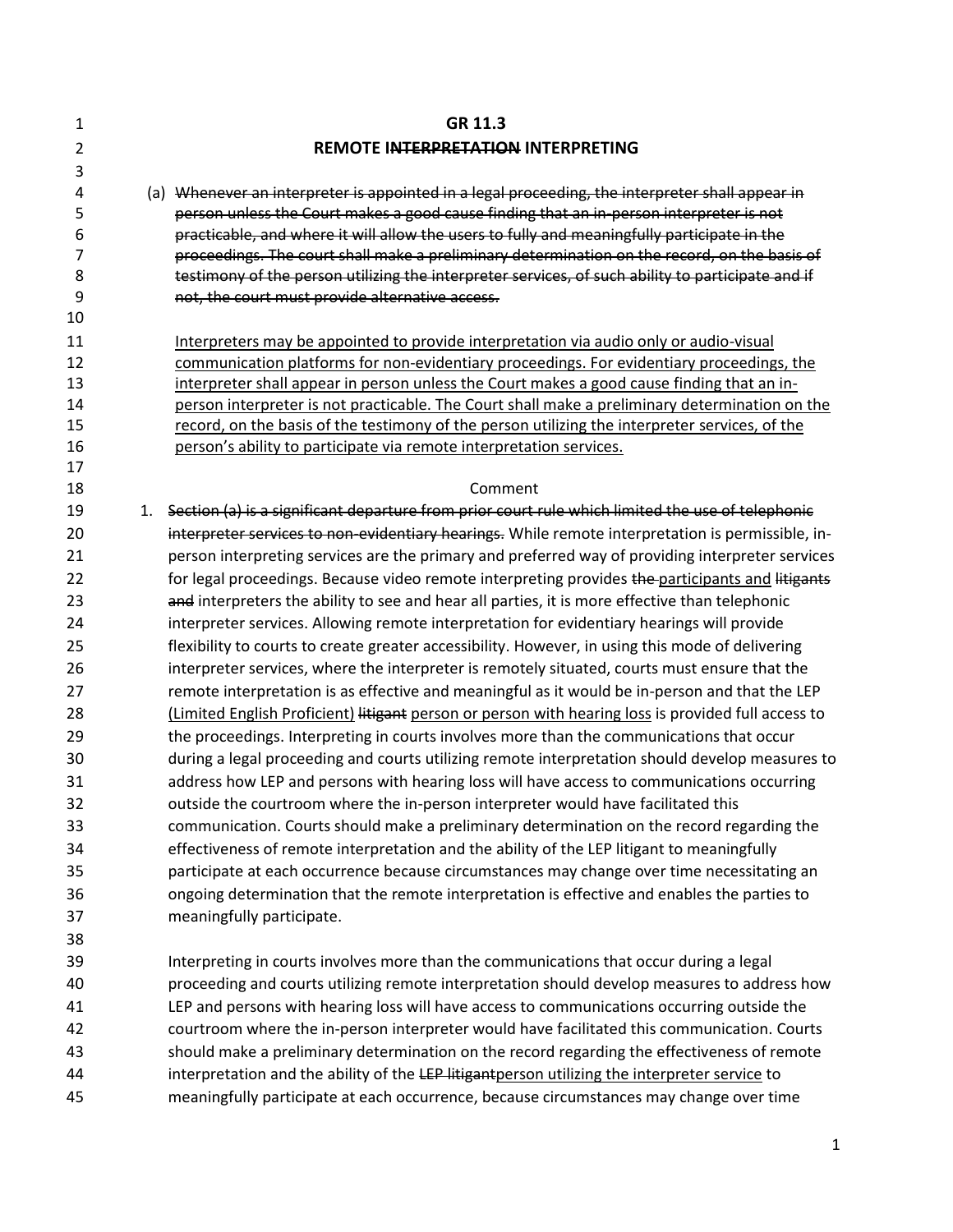| 1                     |    | GR 11.3                                                                                                                                                                                                                                                                                                                                                                                                                                                                                        |
|-----------------------|----|------------------------------------------------------------------------------------------------------------------------------------------------------------------------------------------------------------------------------------------------------------------------------------------------------------------------------------------------------------------------------------------------------------------------------------------------------------------------------------------------|
| $\overline{2}$        |    | <b>REMOTE INTERPRETATION INTERPRETING</b>                                                                                                                                                                                                                                                                                                                                                                                                                                                      |
| 3                     |    |                                                                                                                                                                                                                                                                                                                                                                                                                                                                                                |
| 4<br>5<br>6<br>7<br>8 |    | (a) Whenever an interpreter is appointed in a legal proceeding, the interpreter shall appear in<br>person unless the Court makes a good cause finding that an in-person interpreter is not<br>practicable, and where it will allow the users to fully and meaningfully participate in the<br>proceedings. The court shall make a preliminary determination on the record, on the basis of<br>testimony of the person utilizing the interpreter services, of such ability to participate and if |
| 9                     |    | not, the court must provide alternative access.                                                                                                                                                                                                                                                                                                                                                                                                                                                |
| 10                    |    |                                                                                                                                                                                                                                                                                                                                                                                                                                                                                                |
| 11<br>12              |    | Interpreters may be appointed to provide interpretation via audio only or audio-visual<br>communication platforms for non-evidentiary proceedings. For evidentiary proceedings, the                                                                                                                                                                                                                                                                                                            |
| 13<br>14<br>15        |    | interpreter shall appear in person unless the Court makes a good cause finding that an in-<br>person interpreter is not practicable. The Court shall make a preliminary determination on the<br>record, on the basis of the testimony of the person utilizing the interpreter services, of the                                                                                                                                                                                                 |
| 16<br>17              |    | person's ability to participate via remote interpretation services.                                                                                                                                                                                                                                                                                                                                                                                                                            |
| 18                    |    | Comment                                                                                                                                                                                                                                                                                                                                                                                                                                                                                        |
| 19                    | 1. | Section (a) is a significant departure from prior court rule which limited the use of telephonic                                                                                                                                                                                                                                                                                                                                                                                               |
| 20                    |    | interpreter services to non-evidentiary hearings. While remote interpretation is permissible, in-                                                                                                                                                                                                                                                                                                                                                                                              |
| 21                    |    | person interpreting services are the primary and preferred way of providing interpreter services                                                                                                                                                                                                                                                                                                                                                                                               |
| 22                    |    | for legal proceedings. Because video remote interpreting provides the participants and litigants                                                                                                                                                                                                                                                                                                                                                                                               |
| 23                    |    | and interpreters the ability to see and hear all parties, it is more effective than telephonic                                                                                                                                                                                                                                                                                                                                                                                                 |
| 24                    |    | interpreter services. Allowing remote interpretation for evidentiary hearings will provide                                                                                                                                                                                                                                                                                                                                                                                                     |
| 25                    |    | flexibility to courts to create greater accessibility. However, in using this mode of delivering                                                                                                                                                                                                                                                                                                                                                                                               |
| 26                    |    | interpreter services, where the interpreter is remotely situated, courts must ensure that the                                                                                                                                                                                                                                                                                                                                                                                                  |
| 27                    |    | remote interpretation is as effective and meaningful as it would be in-person and that the LEP                                                                                                                                                                                                                                                                                                                                                                                                 |
| 28                    |    | (Limited English Proficient) litigant person or person with hearing loss is provided full access to                                                                                                                                                                                                                                                                                                                                                                                            |
| 29                    |    | the proceedings. Interpreting in courts involves more than the communications that occur                                                                                                                                                                                                                                                                                                                                                                                                       |
| 30                    |    | during a legal proceeding and courts utilizing remote interpretation should develop measures to                                                                                                                                                                                                                                                                                                                                                                                                |
| 31                    |    | address how LEP and persons with hearing loss will have access to communications occurring                                                                                                                                                                                                                                                                                                                                                                                                     |
| 32                    |    | outside the courtroom where the in-person interpreter would have facilitated this                                                                                                                                                                                                                                                                                                                                                                                                              |
| 33                    |    | communication. Courts should make a preliminary determination on the record regarding the                                                                                                                                                                                                                                                                                                                                                                                                      |
| 34                    |    | effectiveness of remote interpretation and the ability of the LEP litigant to meaningfully                                                                                                                                                                                                                                                                                                                                                                                                     |
| 35                    |    | participate at each occurrence because circumstances may change over time necessitating an                                                                                                                                                                                                                                                                                                                                                                                                     |
| 36                    |    | ongoing determination that the remote interpretation is effective and enables the parties to                                                                                                                                                                                                                                                                                                                                                                                                   |
| 37                    |    | meaningfully participate.                                                                                                                                                                                                                                                                                                                                                                                                                                                                      |
| 38                    |    |                                                                                                                                                                                                                                                                                                                                                                                                                                                                                                |
| 39                    |    | Interpreting in courts involves more than the communications that occur during a legal                                                                                                                                                                                                                                                                                                                                                                                                         |
| 40                    |    | proceeding and courts utilizing remote interpretation should develop measures to address how                                                                                                                                                                                                                                                                                                                                                                                                   |
| 41                    |    | LEP and persons with hearing loss will have access to communications occurring outside the                                                                                                                                                                                                                                                                                                                                                                                                     |
| 42                    |    | courtroom where the in-person interpreter would have facilitated this communication. Courts                                                                                                                                                                                                                                                                                                                                                                                                    |
| 43                    |    | should make a preliminary determination on the record regarding the effectiveness of remote                                                                                                                                                                                                                                                                                                                                                                                                    |
| 44                    |    | interpretation and the ability of the LEP litigantperson utilizing the interpreter service to                                                                                                                                                                                                                                                                                                                                                                                                  |
| 45                    |    | meaningfully participate at each occurrence, because circumstances may change over time                                                                                                                                                                                                                                                                                                                                                                                                        |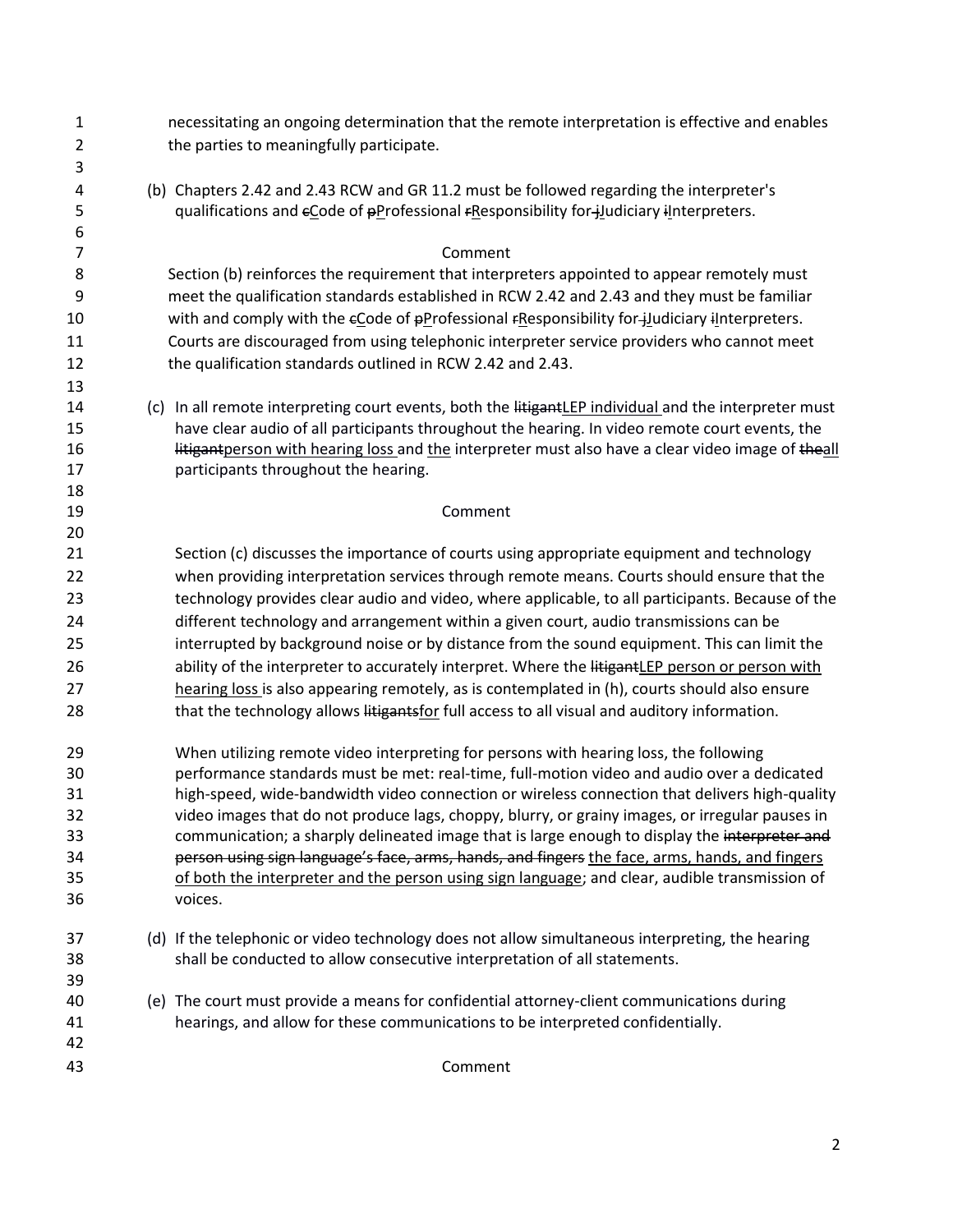| $\mathbf{1}$   | necessitating an ongoing determination that the remote interpretation is effective and enables        |
|----------------|-------------------------------------------------------------------------------------------------------|
| $\overline{2}$ | the parties to meaningfully participate.                                                              |
| 3              |                                                                                                       |
| 4              | (b) Chapters 2.42 and 2.43 RCW and GR 11.2 must be followed regarding the interpreter's               |
| 5              | qualifications and eCode of pProfessional FResponsibility for-judiciary iInterpreters.                |
| 6              |                                                                                                       |
| $\overline{7}$ | Comment                                                                                               |
| 8              | Section (b) reinforces the requirement that interpreters appointed to appear remotely must            |
| 9              | meet the qualification standards established in RCW 2.42 and 2.43 and they must be familiar           |
| 10             | with and comply with the eCode of pProfessional FResponsibility for-judiciary iInterpreters.          |
| 11             | Courts are discouraged from using telephonic interpreter service providers who cannot meet            |
| 12             | the qualification standards outlined in RCW 2.42 and 2.43.                                            |
| 13             |                                                                                                       |
| 14             | (c) In all remote interpreting court events, both the litigantLEP individual and the interpreter must |
| 15             | have clear audio of all participants throughout the hearing. In video remote court events, the        |
| 16             | litigantperson with hearing loss and the interpreter must also have a clear video image of theall     |
| 17             | participants throughout the hearing.                                                                  |
| 18<br>19       | Comment                                                                                               |
| 20             |                                                                                                       |
| 21             | Section (c) discusses the importance of courts using appropriate equipment and technology             |
| 22             | when providing interpretation services through remote means. Courts should ensure that the            |
| 23             | technology provides clear audio and video, where applicable, to all participants. Because of the      |
| 24             | different technology and arrangement within a given court, audio transmissions can be                 |
| 25             | interrupted by background noise or by distance from the sound equipment. This can limit the           |
| 26             | ability of the interpreter to accurately interpret. Where the litigantLEP person or person with       |
| 27             | hearing loss is also appearing remotely, as is contemplated in (h), courts should also ensure         |
| 28             | that the technology allows litigantsfor full access to all visual and auditory information.           |
|                |                                                                                                       |
| 29             | When utilizing remote video interpreting for persons with hearing loss, the following                 |
| 30             | performance standards must be met: real-time, full-motion video and audio over a dedicated            |
| 31             | high-speed, wide-bandwidth video connection or wireless connection that delivers high-quality         |
| 32             | video images that do not produce lags, choppy, blurry, or grainy images, or irregular pauses in       |
| 33             | communication; a sharply delineated image that is large enough to display the interpreter and         |
| 34             | person using sign language's face, arms, hands, and fingers the face, arms, hands, and fingers        |
| 35             | of both the interpreter and the person using sign language; and clear, audible transmission of        |
| 36             | voices.                                                                                               |
| 37             | (d) If the telephonic or video technology does not allow simultaneous interpreting, the hearing       |
| 38             | shall be conducted to allow consecutive interpretation of all statements.                             |
| 39             |                                                                                                       |
| 40             | (e) The court must provide a means for confidential attorney-client communications during             |
| 41             | hearings, and allow for these communications to be interpreted confidentially.                        |
| 42             |                                                                                                       |
| 43             | Comment                                                                                               |
|                |                                                                                                       |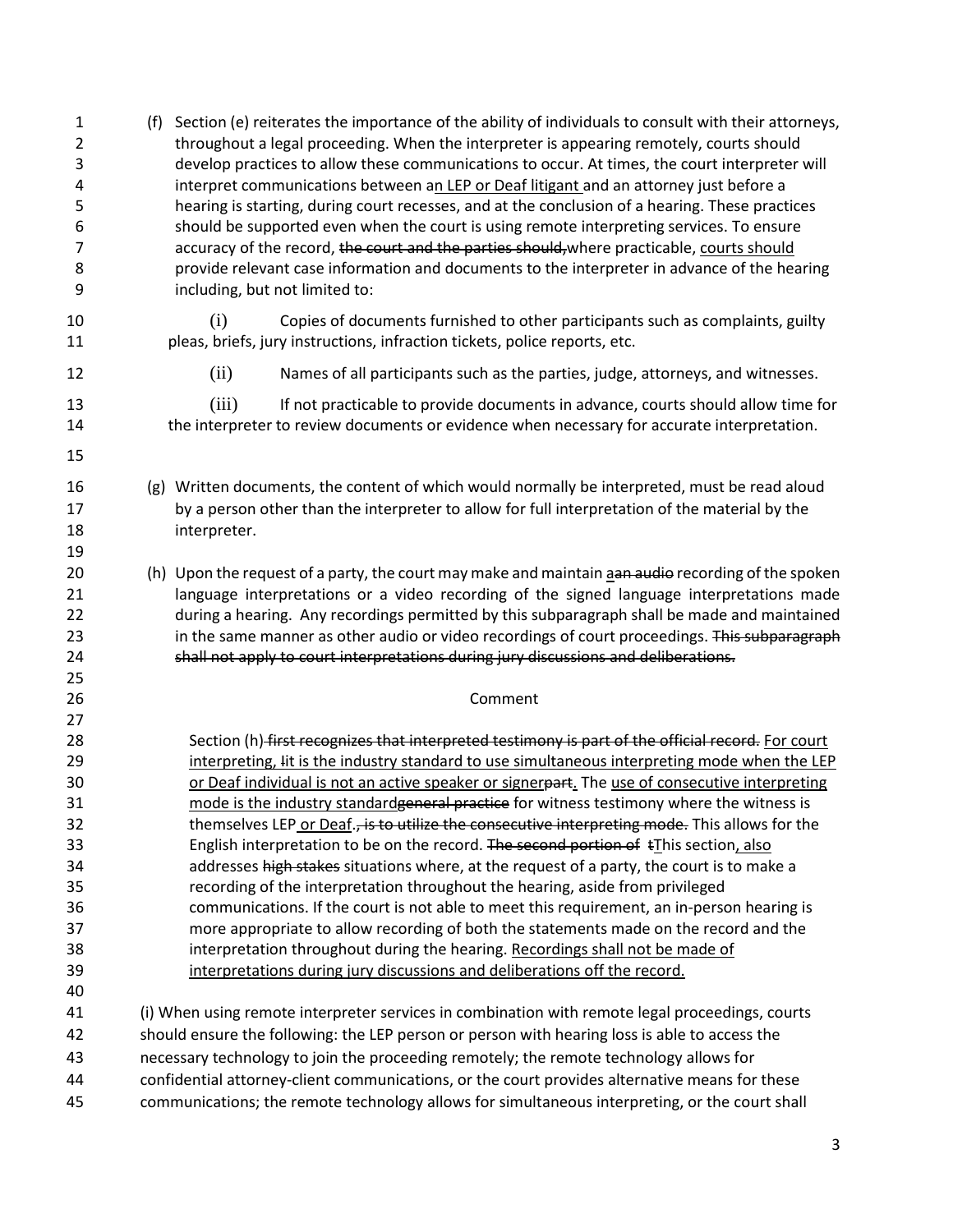| 1<br>2<br>3<br>4<br>5<br>6<br>7<br>8<br>9 | Section (e) reiterates the importance of the ability of individuals to consult with their attorneys,<br>(f)<br>throughout a legal proceeding. When the interpreter is appearing remotely, courts should<br>develop practices to allow these communications to occur. At times, the court interpreter will<br>interpret communications between an LEP or Deaf litigant and an attorney just before a<br>hearing is starting, during court recesses, and at the conclusion of a hearing. These practices<br>should be supported even when the court is using remote interpreting services. To ensure<br>accuracy of the record, the court and the parties should, where practicable, courts should<br>provide relevant case information and documents to the interpreter in advance of the hearing<br>including, but not limited to: |
|-------------------------------------------|------------------------------------------------------------------------------------------------------------------------------------------------------------------------------------------------------------------------------------------------------------------------------------------------------------------------------------------------------------------------------------------------------------------------------------------------------------------------------------------------------------------------------------------------------------------------------------------------------------------------------------------------------------------------------------------------------------------------------------------------------------------------------------------------------------------------------------|
| 10<br>11                                  | (i)<br>Copies of documents furnished to other participants such as complaints, guilty<br>pleas, briefs, jury instructions, infraction tickets, police reports, etc.                                                                                                                                                                                                                                                                                                                                                                                                                                                                                                                                                                                                                                                                |
| 12                                        | (ii)<br>Names of all participants such as the parties, judge, attorneys, and witnesses.                                                                                                                                                                                                                                                                                                                                                                                                                                                                                                                                                                                                                                                                                                                                            |
| 13<br>14<br>15                            | If not practicable to provide documents in advance, courts should allow time for<br>(iii)<br>the interpreter to review documents or evidence when necessary for accurate interpretation.                                                                                                                                                                                                                                                                                                                                                                                                                                                                                                                                                                                                                                           |
| 16<br>17<br>18<br>19                      | (g) Written documents, the content of which would normally be interpreted, must be read aloud<br>by a person other than the interpreter to allow for full interpretation of the material by the<br>interpreter.                                                                                                                                                                                                                                                                                                                                                                                                                                                                                                                                                                                                                    |
| 20<br>21<br>22<br>23<br>24<br>25          | (h) Upon the request of a party, the court may make and maintain aan audio recording of the spoken<br>language interpretations or a video recording of the signed language interpretations made<br>during a hearing. Any recordings permitted by this subparagraph shall be made and maintained<br>in the same manner as other audio or video recordings of court proceedings. This subparagraph<br>shall not apply to court interpretations during jury discussions and deliberations.                                                                                                                                                                                                                                                                                                                                            |
| 26<br>27                                  | Comment                                                                                                                                                                                                                                                                                                                                                                                                                                                                                                                                                                                                                                                                                                                                                                                                                            |
| 28<br>29<br>30<br>31<br>32                | Section (h) first recognizes that interpreted testimony is part of the official record. For court<br>interpreting, Iit is the industry standard to use simultaneous interpreting mode when the LEP<br>or Deaf individual is not an active speaker or signerpart. The use of consecutive interpreting<br>mode is the industry standardgeneral practice for witness testimony where the witness is<br>themselves LEP or Deaf., is to utilize the consecutive interpreting mode. This allows for the                                                                                                                                                                                                                                                                                                                                  |
| 33<br>34<br>35<br>36                      | English interpretation to be on the record. The second portion of tIhis section, also<br>addresses high stakes situations where, at the request of a party, the court is to make a<br>recording of the interpretation throughout the hearing, aside from privileged<br>communications. If the court is not able to meet this requirement, an in-person hearing is                                                                                                                                                                                                                                                                                                                                                                                                                                                                  |
| 37<br>38<br>39<br>40                      | more appropriate to allow recording of both the statements made on the record and the<br>interpretation throughout during the hearing. Recordings shall not be made of<br>interpretations during jury discussions and deliberations off the record.                                                                                                                                                                                                                                                                                                                                                                                                                                                                                                                                                                                |
| 41<br>42                                  | (i) When using remote interpreter services in combination with remote legal proceedings, courts<br>should ensure the following: the LEP person or person with hearing loss is able to access the                                                                                                                                                                                                                                                                                                                                                                                                                                                                                                                                                                                                                                   |
| 43                                        | necessary technology to join the proceeding remotely; the remote technology allows for                                                                                                                                                                                                                                                                                                                                                                                                                                                                                                                                                                                                                                                                                                                                             |
| 44<br>45                                  | confidential attorney-client communications, or the court provides alternative means for these<br>communications; the remote technology allows for simultaneous interpreting, or the court shall                                                                                                                                                                                                                                                                                                                                                                                                                                                                                                                                                                                                                                   |
|                                           |                                                                                                                                                                                                                                                                                                                                                                                                                                                                                                                                                                                                                                                                                                                                                                                                                                    |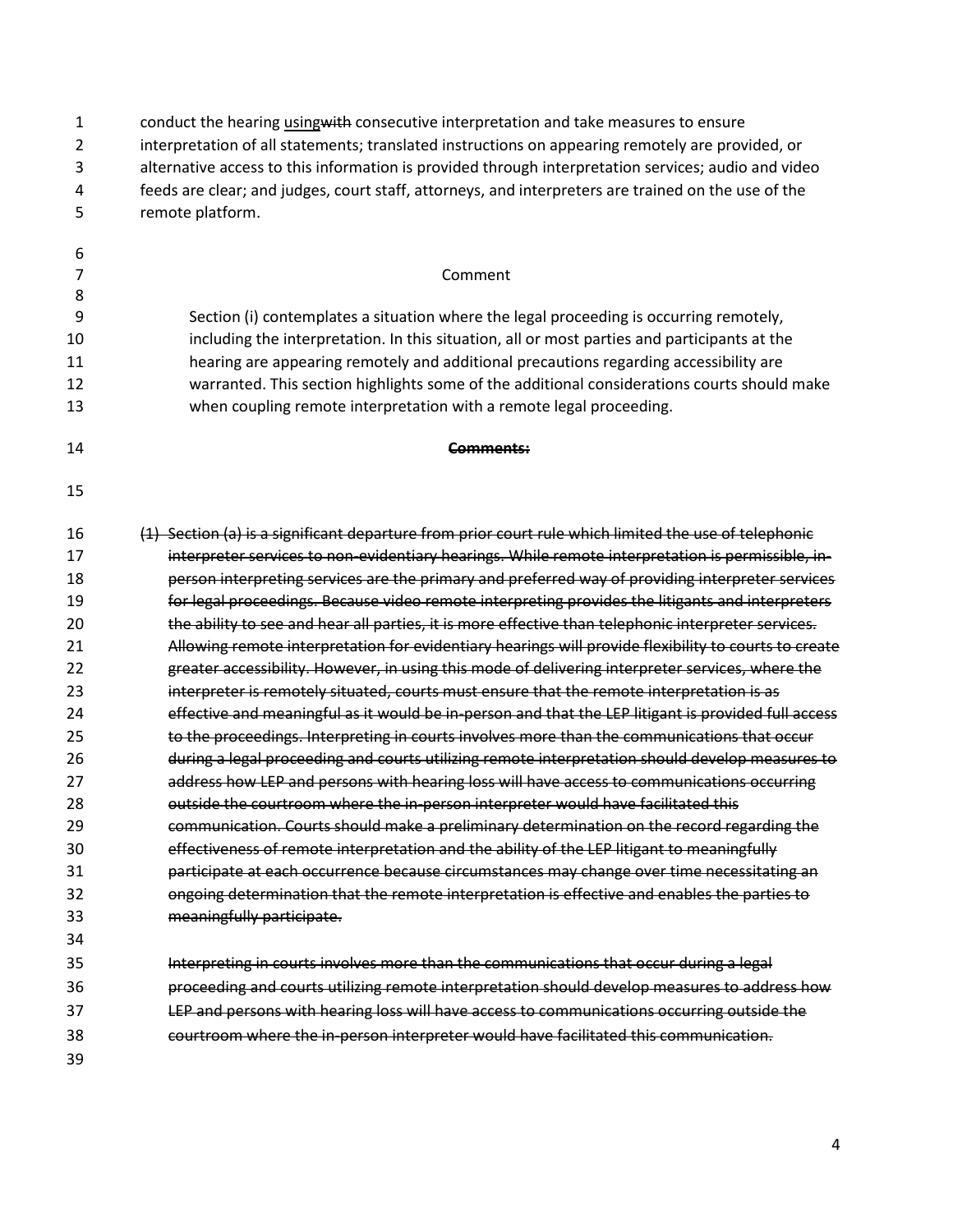| 1<br>$\overline{2}$<br>3<br>4<br>5 | conduct the hearing using with consecutive interpretation and take measures to ensure<br>interpretation of all statements; translated instructions on appearing remotely are provided, or<br>alternative access to this information is provided through interpretation services; audio and video<br>feeds are clear; and judges, court staff, attorneys, and interpreters are trained on the use of the<br>remote platform. |
|------------------------------------|-----------------------------------------------------------------------------------------------------------------------------------------------------------------------------------------------------------------------------------------------------------------------------------------------------------------------------------------------------------------------------------------------------------------------------|
|                                    |                                                                                                                                                                                                                                                                                                                                                                                                                             |
| 6                                  |                                                                                                                                                                                                                                                                                                                                                                                                                             |
| 7<br>8                             | Comment                                                                                                                                                                                                                                                                                                                                                                                                                     |
| 9                                  | Section (i) contemplates a situation where the legal proceeding is occurring remotely,                                                                                                                                                                                                                                                                                                                                      |
| 10                                 | including the interpretation. In this situation, all or most parties and participants at the                                                                                                                                                                                                                                                                                                                                |
| 11                                 | hearing are appearing remotely and additional precautions regarding accessibility are                                                                                                                                                                                                                                                                                                                                       |
| 12                                 | warranted. This section highlights some of the additional considerations courts should make                                                                                                                                                                                                                                                                                                                                 |
| 13                                 | when coupling remote interpretation with a remote legal proceeding.                                                                                                                                                                                                                                                                                                                                                         |
| 14                                 | Comments:                                                                                                                                                                                                                                                                                                                                                                                                                   |
| 15                                 |                                                                                                                                                                                                                                                                                                                                                                                                                             |
| 16                                 | (1) Section (a) is a significant departure from prior court rule which limited the use of telephonic                                                                                                                                                                                                                                                                                                                        |
| 17                                 | interpreter services to non-evidentiary hearings. While remote interpretation is permissible, in-                                                                                                                                                                                                                                                                                                                           |
| 18                                 | person interpreting services are the primary and preferred way of providing interpreter services                                                                                                                                                                                                                                                                                                                            |
| 19                                 | for legal proceedings. Because video remote interpreting provides the litigants and interpreters                                                                                                                                                                                                                                                                                                                            |
| 20                                 | the ability to see and hear all parties, it is more effective than telephonic interpreter services.                                                                                                                                                                                                                                                                                                                         |
| 21                                 | Allowing remote interpretation for evidentiary hearings will provide flexibility to courts to create                                                                                                                                                                                                                                                                                                                        |
| 22                                 | greater accessibility. However, in using this mode of delivering interpreter services, where the                                                                                                                                                                                                                                                                                                                            |
| 23                                 | interpreter is remotely situated, courts must ensure that the remote interpretation is as                                                                                                                                                                                                                                                                                                                                   |
| 24                                 | effective and meaningful as it would be in-person and that the LEP litigant is provided full access                                                                                                                                                                                                                                                                                                                         |
| 25                                 | to the proceedings. Interpreting in courts involves more than the communications that occur                                                                                                                                                                                                                                                                                                                                 |
| 26                                 | during a legal proceeding and courts utilizing remote interpretation should develop measures to                                                                                                                                                                                                                                                                                                                             |
| 27                                 | address how LEP and persons with hearing loss will have access to communications occurring                                                                                                                                                                                                                                                                                                                                  |
| 28                                 | outside the courtroom where the in-person interpreter would have facilitated this                                                                                                                                                                                                                                                                                                                                           |
| 29                                 | communication. Courts should make a preliminary determination on the record regarding the                                                                                                                                                                                                                                                                                                                                   |
| 30                                 | effectiveness of remote interpretation and the ability of the LEP litigant to meaningfully                                                                                                                                                                                                                                                                                                                                  |
| 31                                 | participate at each occurrence because circumstances may change over time necessitating an                                                                                                                                                                                                                                                                                                                                  |
| 32                                 | ongoing determination that the remote interpretation is effective and enables the parties to                                                                                                                                                                                                                                                                                                                                |
| 33                                 | meaningfully participate.                                                                                                                                                                                                                                                                                                                                                                                                   |
| 34                                 |                                                                                                                                                                                                                                                                                                                                                                                                                             |
| 35                                 | Interpreting in courts involves more than the communications that occur during a legal                                                                                                                                                                                                                                                                                                                                      |
| 36                                 | proceeding and courts utilizing remote interpretation should develop measures to address how                                                                                                                                                                                                                                                                                                                                |
| 37                                 | LEP and persons with hearing loss will have access to communications occurring outside the                                                                                                                                                                                                                                                                                                                                  |
| 38                                 | courtroom where the in-person interpreter would have facilitated this communication.                                                                                                                                                                                                                                                                                                                                        |
| 39                                 |                                                                                                                                                                                                                                                                                                                                                                                                                             |